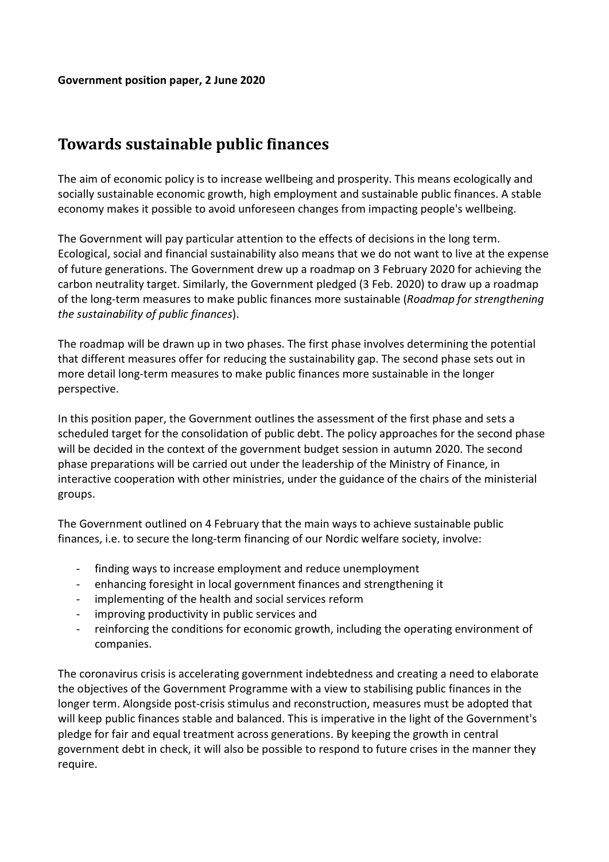## Towards sustainable public finances

The aim of economic policy is to increase wellbeing and prosperity. This means ecologically and socially sustainable economic growth, high employment and sustainable public finances. A stable economy makes it possible to avoid unforeseen changes from impacting people's wellbeing.

The Government will pay particular attention to the effects of decisions in the long term. Ecological, social and financial sustainability also means that we do not want to live at the expense of future generations. The Government drew up a roadmap on 3 February 2020 for achieving the carbon neutrality target. Similarly, the Government pledged (3 Feb. 2020) to draw up a roadmap of the long-term measures to make public finances more sustainable (Roadmap for strengthening the sustainability of public finances).

The roadmap will be drawn up in two phases. The first phase involves determining the potential that different measures offer for reducing the sustainability gap. The second phase sets out in more detail long-term measures to make public finances more sustainable in the longer perspective.

In this position paper, the Government outlines the assessment of the first phase and sets a scheduled target for the consolidation of public debt. The policy approaches for the second phase will be decided in the context of the government budget session in autumn 2020. The second phase preparations will be carried out under the leadership of the Ministry of Finance, in interactive cooperation with other ministries, under the guidance of the chairs of the ministerial groups.

The Government outlined on 4 February that the main ways to achieve sustainable public finances, i.e. to secure the long-term financing of our Nordic welfare society, involve:

- finding ways to increase employment and reduce unemployment
- enhancing foresight in local government finances and strengthening it
- implementing of the health and social services reform
- improving productivity in public services and
- reinforcing the conditions for economic growth, including the operating environment of companies.

The coronavirus crisis is accelerating government indebtedness and creating a need to elaborate the objectives of the Government Programme with a view to stabilising public finances in the longer term. Alongside post-crisis stimulus and reconstruction, measures must be adopted that will keep public finances stable and balanced. This is imperative in the light of the Government's pledge for fair and equal treatment across generations. By keeping the growth in central government debt in check, it will also be possible to respond to future crises in the manner they require.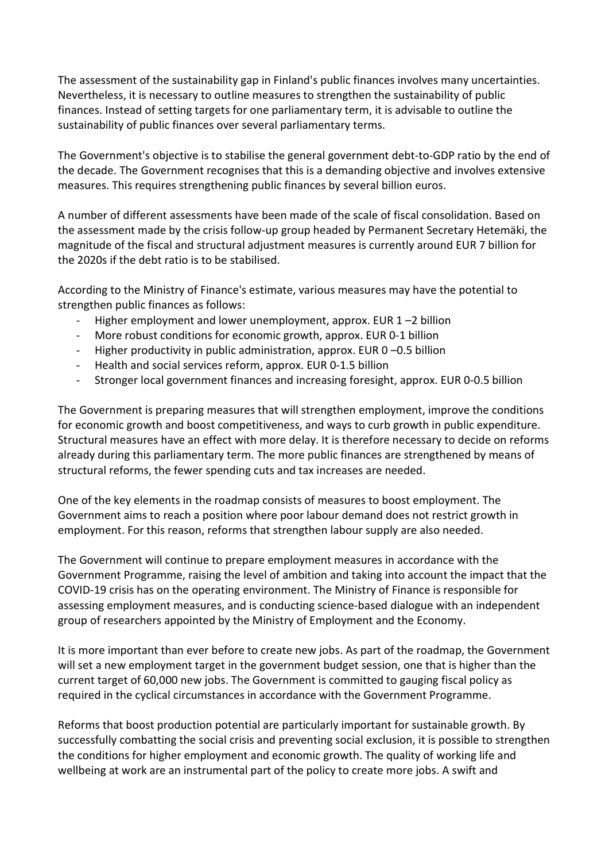The assessment of the sustainability gap in Finland's public finances involves many uncertainties. Nevertheless, it is necessary to outline measures to strengthen the sustainability of public finances. Instead of setting targets for one parliamentary term, it is advisable to outline the sustainability of public finances over several parliamentary terms.

The Government's objective is to stabilise the general government debt-to-GDP ratio by the end of the decade. The Government recognises that this is a demanding objective and involves extensive measures. This requires strengthening public finances by several billion euros.

A number of different assessments have been made of the scale of fiscal consolidation. Based on the assessment made by the crisis follow-up group headed by Permanent Secretary Hetemäki, the magnitude of the fiscal and structural adjustment measures is currently around EUR 7 billion for the 2020s if the debt ratio is to be stabilised.

According to the Ministry of Finance's estimate, various measures may have the potential to strengthen public finances as follows:

- Higher employment and lower unemployment, approx. EUR  $1 2$  billion
- More robust conditions for economic growth, approx. EUR 0-1 billion
- Higher productivity in public administration, approx. EUR 0-0.5 billion
- Health and social services reform, approx. EUR 0-1.5 billion
- Stronger local government finances and increasing foresight, approx. EUR 0-0.5 billion

The Government is preparing measures that will strengthen employment, improve the conditions for economic growth and boost competitiveness, and ways to curb growth in public expenditure. Structural measures have an effect with more delay. It is therefore necessary to decide on reforms already during this parliamentary term. The more public finances are strengthened by means of structural reforms, the fewer spending cuts and tax increases are needed.

One of the key elements in the roadmap consists of measures to boost employment. The Government aims to reach a position where poor labour demand does not restrict growth in employment. For this reason, reforms that strengthen labour supply are also needed.

The Government will continue to prepare employment measures in accordance with the Government Programme, raising the level of ambition and taking into account the impact that the COVID-19 crisis has on the operating environment. The Ministry of Finance is responsible for assessing employment measures, and is conducting science-based dialogue with an independent group of researchers appointed by the Ministry of Employment and the Economy.

It is more important than ever before to create new jobs. As part of the roadmap, the Government will set a new employment target in the government budget session, one that is higher than the current target of 60,000 new jobs. The Government is committed to gauging fiscal policy as required in the cyclical circumstances in accordance with the Government Programme.

Reforms that boost production potential are particularly important for sustainable growth. By successfully combatting the social crisis and preventing social exclusion, it is possible to strengthen the conditions for higher employment and economic growth. The quality of working life and wellbeing at work are an instrumental part of the policy to create more jobs. A swift and